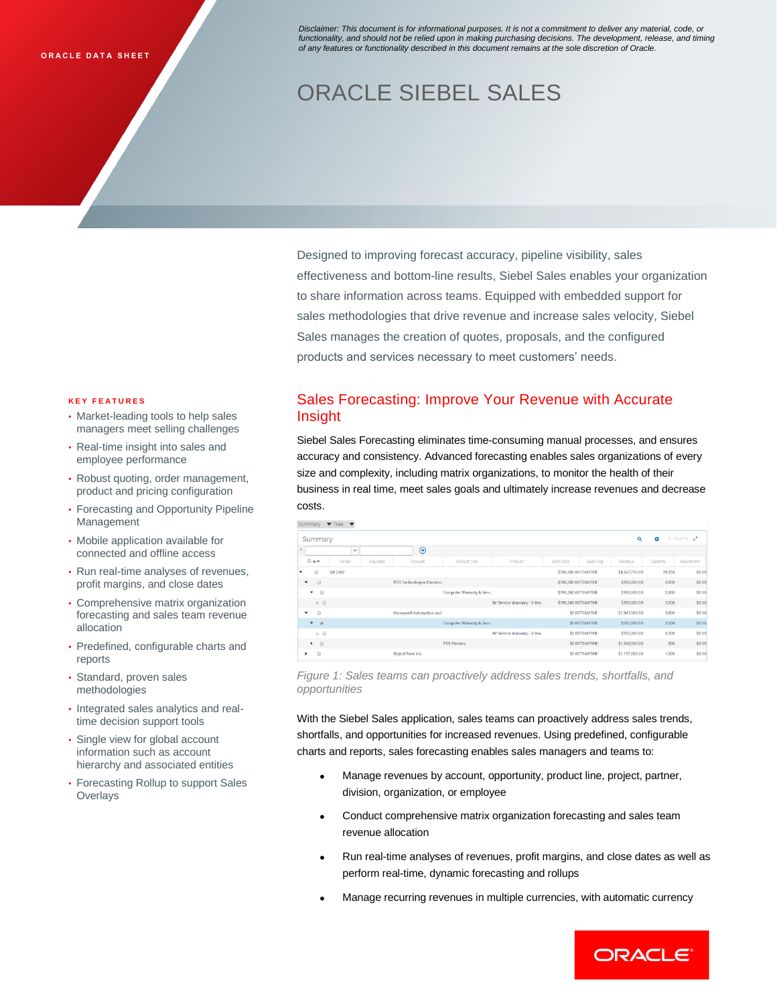*Disclaimer: This document is for informational purposes. It is not a commitment to deliver any material, code, or functionality, and should not be relied upon in making purchasing decisions. The development, release, and timing of any features or functionality described in this document remains at the sole discretion of Oracle.* 

# ORACLE SIEBEL SALES

Designed to improving forecast accuracy, pipeline visibility, sales effectiveness and bottom-line results, Siebel Sales enables your organization to share information across teams. Equipped with embedded support for sales methodologies that drive revenue and increase sales velocity, Siebel Sales manages the creation of quotes, proposals, and the configured products and services necessary to meet customers' needs.

#### **K E Y F E A T U R E S**

- Market-leading tools to help sales managers meet selling challenges
- Real-time insight into sales and employee performance
- Robust quoting, order management, product and pricing configuration
- Forecasting and Opportunity Pipeline Management
- Mobile application available for connected and offline access
- Run real-time analyses of revenues, profit margins, and close dates
- Comprehensive matrix organization forecasting and sales team revenue allocation
- Predefined, configurable charts and reports
- Standard, proven sales methodologies
- Integrated sales analytics and realtime decision support tools
- Single view for global account information such as account hierarchy and associated entities
- Forecasting Rollup to support Sales **Overlays**

# Sales Forecasting: Improve Your Revenue with Accurate Insight

Siebel Sales Forecasting eliminates time-consuming manual processes, and ensures accuracy and consistency. Advanced forecasting enables sales organizations of every size and complexity, including matrix organizations, to monitor the health of their business in real time, meet sales goals and ultimately increase revenues and decrease costs.

| $\blacktriangledown$ Tree<br>Summary<br>$\mathbf{v}$ |                    |                           |                          |                             |                     |               |                |          |                        |
|------------------------------------------------------|--------------------|---------------------------|--------------------------|-----------------------------|---------------------|---------------|----------------|----------|------------------------|
| Summary                                              |                    |                           |                          |                             |                     |               | Q              | ó        | $1 - 11$ of $11 - e^2$ |
|                                                      | $\checkmark$       | ⊕                         |                          |                             |                     |               |                |          |                        |
| $\Box$ $\land$                                       | Period<br>Adjusted | Account                   | Product Line             | Product                     | Best Case           | Sales Rep     | Revenue        | Quantity | Adjustment             |
| 63<br>٠                                              | Q4 2007            |                           |                          |                             | \$390,000.00TSMYTHE |               | \$4,567,750.00 | 19,350   | \$0.00                 |
| $\Box$<br>$\blacktriangledown$                       |                    | PCS Technologies Electron |                          |                             | \$390,000.00TSMYTHE |               | \$390,000.00   | 2,000    | \$0.00                 |
| $\Box$<br>▼                                          |                    |                           | Computer Warranty & Serv |                             | \$390,000.00TSMYTHE |               | \$390,000.00   | 2,000    | \$0.00                 |
| $\circ$ $\Box$                                       |                    |                           |                          | IM Service Warranty - 2-Yea | \$390,000.00TSMYTHE |               | \$390,000.00   | 2,000    | \$0.00                 |
| $\Box$<br>$\checkmark$                               |                    | Honeywell Automation and  |                          |                             |                     | \$0.00TSMYTHE | \$1,943,500.00 | 3,800    | \$0.00                 |
| $\mathbf{v}$ $\mathbf{v}$                            |                    |                           | Computer Warranty & Serv |                             |                     | \$0.00TSMYTHE | \$595,000.00   | 3.500    | \$0.00                 |
| $\circ$ $\Box$                                       |                    |                           |                          | IM Service Warranty - 2-Yea |                     | \$0.00TSMYTHE | \$595,000.00   | 3,500    | \$0.00                 |
| $\rightarrow$                                        |                    |                           | <b>PCS Printers</b>      |                             |                     | \$0.00TSMYTHE | \$1,348,500.00 | 300      | \$0.00                 |
| $\qquad \qquad \qquad \qquad \qquad$<br>٠            |                    | Digital River, Inc.       |                          |                             |                     | \$0.00TSMYTHE | \$1,197,000.00 | 1,000    | \$0.00                 |

*Figure 1: Sales teams can proactively address sales trends, shortfalls, and opportunities*

With the Siebel Sales application, sales teams can proactively address sales trends, shortfalls, and opportunities for increased revenues. Using predefined, configurable charts and reports, sales forecasting enables sales managers and teams to:

- Manage revenues by account, opportunity, product line, project, partner, division, organization, or employee
- Conduct comprehensive matrix organization forecasting and sales team revenue allocation
- Run real-time analyses of revenues, profit margins, and close dates as well as perform real-time, dynamic forecasting and rollups
- Manage recurring revenues in multiple currencies, with automatic currency

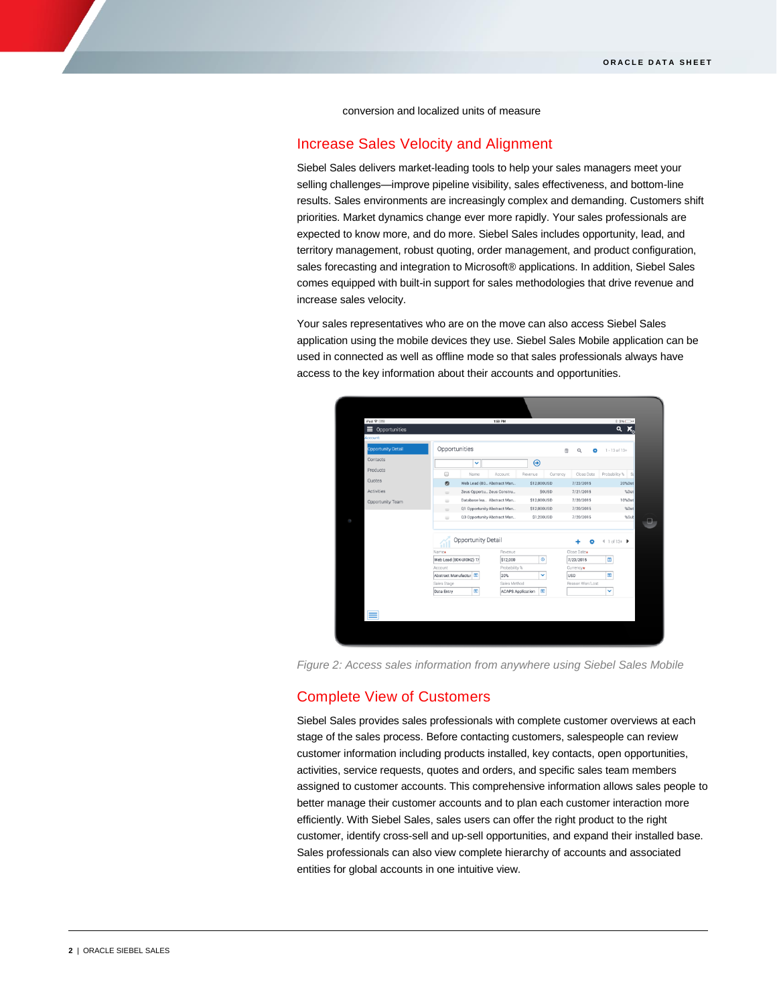conversion and localized units of measure

## Increase Sales Velocity and Alignment

Siebel Sales delivers market-leading tools to help your sales managers meet your selling challenges—improve pipeline visibility, sales effectiveness, and bottom-line results. Sales environments are increasingly complex and demanding. Customers shift priorities. Market dynamics change ever more rapidly. Your sales professionals are expected to know more, and do more. Siebel Sales includes opportunity, lead, and territory management, robust quoting, order management, and product configuration, sales forecasting and integration to Microsoft® applications. In addition, Siebel Sales comes equipped with built-in support for sales methodologies that drive revenue and increase sales velocity.

Your sales representatives who are on the move can also access Siebel Sales application using the mobile devices they use. Siebel Sales Mobile application can be used in connected as well as offline mode so that sales professionals always have access to the key information about their accounts and opportunities.



*Figure 2: Access sales information from anywhere using Siebel Sales Mobile*

# Complete View of Customers

Siebel Sales provides sales professionals with complete customer overviews at each stage of the sales process. Before contacting customers, salespeople can review customer information including products installed, key contacts, open opportunities, activities, service requests, quotes and orders, and specific sales team members assigned to customer accounts. This comprehensive information allows sales people to better manage their customer accounts and to plan each customer interaction more efficiently. With Siebel Sales, sales users can offer the right product to the right customer, identify cross-sell and up-sell opportunities, and expand their installed base. Sales professionals can also view complete hierarchy of accounts and associated entities for global accounts in one intuitive view.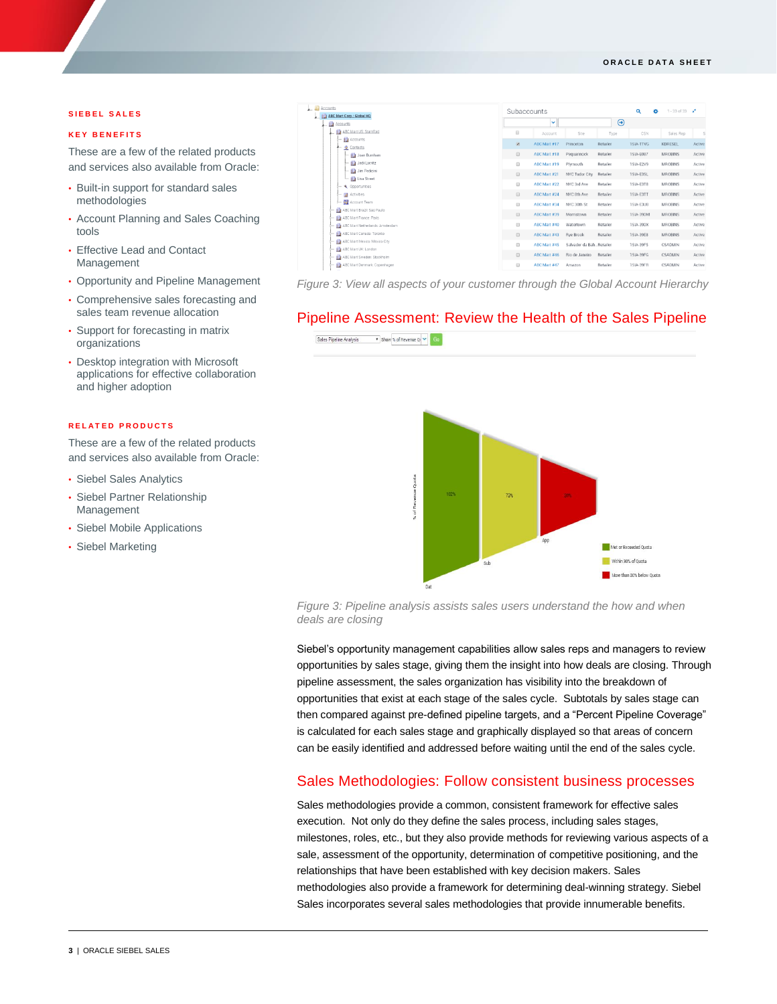#### **O R A C L E D A T A S H E E T**

### **SIEBEL SALES**

## **K E Y B E N E F I T S**

These are a few of the related products and services also available from Oracle:

- Built-in support for standard sales methodologies
- Account Planning and Sales Coaching tools
- Effective Lead and Contact Management
- Opportunity and Pipeline Management
- Comprehensive sales forecasting and sales team revenue allocation
- Support for forecasting in matrix organizations
- Desktop integration with Microsoft applications for effective collaboration and higher adoption

## **R E L A T E D P R O D U C T S**

These are a few of the related products and services also available from Oracle:

- Siebel Sales Analytics
- Siebel Partner Relationship Management
- Siebel Mobile Applications
- Siebel Marketing



*Figure 3: View all aspects of your customer through the Global Account Hierarchy*

# Pipeline Assessment: Review the Health of the Sales Pipeline



*Figure 3: Pipeline analysis assists sales users understand the how and when deals are closing*

Siebel's opportunity management capabilities allow sales reps and managers to review opportunities by sales stage, giving them the insight into how deals are closing. Through pipeline assessment, the sales organization has visibility into the breakdown of opportunities that exist at each stage of the sales cycle. Subtotals by sales stage can then compared against pre-defined pipeline targets, and a "Percent Pipeline Coverage" is calculated for each sales stage and graphically displayed so that areas of concern can be easily identified and addressed before waiting until the end of the sales cycle.

## Sales Methodologies: Follow consistent business processes

Sales methodologies provide a common, consistent framework for effective sales execution. Not only do they define the sales process, including sales stages, milestones, roles, etc., but they also provide methods for reviewing various aspects of a sale, assessment of the opportunity, determination of competitive positioning, and the relationships that have been established with key decision makers. Sales methodologies also provide a framework for determining deal-winning strategy. Siebel Sales incorporates several sales methodologies that provide innumerable benefits.